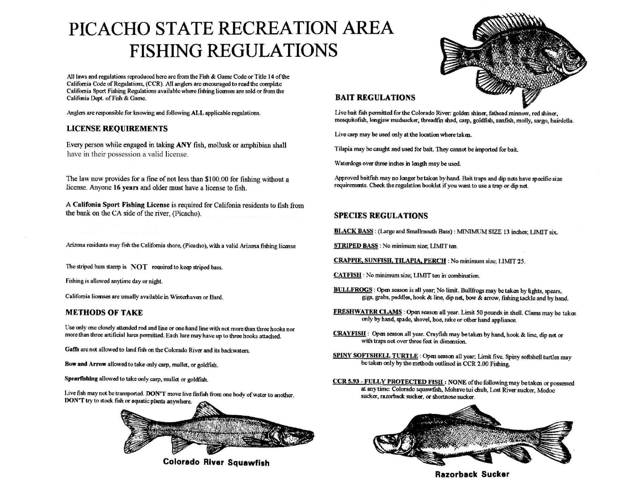# PICACHO STATE RECREATION AREA FISHING REGULATIONS

All laws and regulations reproduced here are from the Fish & Game Code or Title 14 ofthe California Code of Regulations, (CCR). All anglers are encouraged to read the complete California Sport Fishing Regulations available where fishing licenses are sold or from the Califonia Dept. of Fish & Game.

Anglers are responsible for knowing and following ALL applicable regulations.

#### LICENSE REQUIREMENTS

Every person while engaged in taking ANY fish, mollusk or amphibian shall have in their possession a valid license.

The law now provides for a fine of not less than \$100.00 for fishing without a license. Anyone 16 years and older must have a license to fish.

A Califonia Sport Fishing License is required for Califonia residents to fish from the bank on theCA side of the river, (Picacho).

Arizona residents may fish the California shore, (Picacho), with a valid Arizona fishing license

The striped bass stamp is NOT required to keep striped bass.

Fishing is allowed anytime day or night.

California licenses are usually available in Winterhaven or Bard.

#### METHODS OF TAKE

Use only one closely attended rod and line or one hand line with not more than three hooks nor more than three artificial lures permitted. Each lure may have up to three hooks attached.

Gaffs are not allowed to land fish on the Colorado River and its backwaters.

Bow and Arrow allowed to take only carp, mullet, or goldfish.

Spearfishing allowed to take only carp, mullet or goldfish.

Live fish may not be transported. DON'T move live finfish from one body of water to another. DON'T try to stock fish or aquatic plants anywhere.



Colorado River Squawfish



### BAIT REGULATIONS

Live bait fish permitted for the Colorado River: golden shiner, fathead minnow, red shiner, mosquitofish, longjaw mudsucker, threadfm shad, carp, goldfish, sunfish, molly, sargo, bairdella.

Live carp may be used only at the location where taken.

Tilapia may be caught and used for bait. They cannot be imported for bait.

Waterdogs over three inches in length may be used.

Approved baitfish may no longer be taken by hand. Bait traps and dip nets have specific size requirements. Check the regulation booklet if you want to use a trap or dip net.

### SPECIES REGULATIONS

BLACK BASS : (Large and Smallmouth Bass) : MINIMUM SIZE 13 inches; LIMIT six.

STRIPED BASS : No minimum size; LIMIT ten.

CRAPPIE, SUNFISH, TILAPIA. PERCH : No minimum size; LIMIT *25.* 

CATFISH : No minimum size; LIMIT ten in combination.

BULLFROGS : Open season is all year; No limit. Bullfrogs may be taken by lights, spears, gigs, grabs, paddles, hook & line, dip net, bow & arrow, fishing tackle and by hand.

FRESHWATER CLAMS : Open season all year. Limit *50* pounds in shell. Clams may be taken only by hand, spade, shovel, hoe, rake or cther hand appliance.

CRAYFISH : Open season all year. Crayfish may be taken by hand, hook & line, dip net or with traps not over three feet in dimension.

SPINY SOFTSHELL TURTLE : Open season all year; Limit five. Spiny softshell turtles may be taken only by the methods outlined in CCR *2.00* Fishing.

CCR 5.93 - FULLY PROTECTED FISH : NONE of the following may be taken or possessed at any time: Colorado squawfish, Mohave tui chub, Lost River sucker, Modoc sucker, razorback sucker, or shortnose sucker.



Razorback Sucker